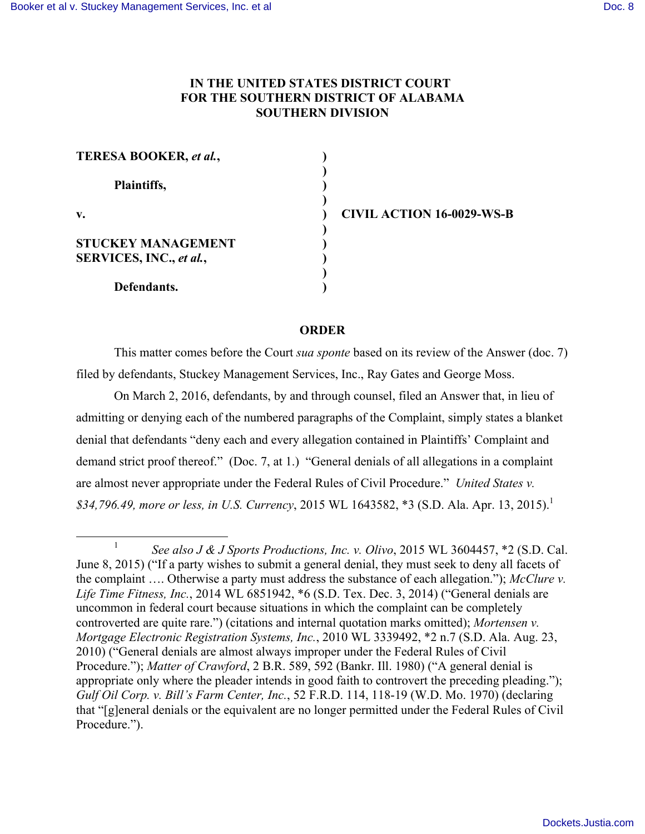## **IN THE UNITED STATES DISTRICT COURT FOR THE SOUTHERN DISTRICT OF ALABAMA SOUTHERN DIVISION**

| <b>TERESA BOOKER, et al.,</b> |  |
|-------------------------------|--|
| Plaintiffs,                   |  |
| v.                            |  |
| STUCKEY MANAGEMENT            |  |
| SERVICES, INC., et al.,       |  |
| Defendants.                   |  |

**v. ) CIVIL ACTION 16-0029-WS-B**

## **ORDER**

This matter comes before the Court *sua sponte* based on its review of the Answer (doc. 7) filed by defendants, Stuckey Management Services, Inc., Ray Gates and George Moss.

On March 2, 2016, defendants, by and through counsel, filed an Answer that, in lieu of admitting or denying each of the numbered paragraphs of the Complaint, simply states a blanket denial that defendants "deny each and every allegation contained in Plaintiffs' Complaint and demand strict proof thereof." (Doc. 7, at 1.) "General denials of all allegations in a complaint are almost never appropriate under the Federal Rules of Civil Procedure." *United States v. \$34,796.49, more or less, in U.S. Currency*, 2015 WL 1643582, \*3 (S.D. Ala. Apr. 13, 2015).1

<sup>&</sup>lt;sup>1</sup> *See also J & J Sports Productions, Inc. v. Olivo*, 2015 WL 3604457,  $*2$  (S.D. Cal. June 8, 2015) ("If a party wishes to submit a general denial, they must seek to deny all facets of the complaint …. Otherwise a party must address the substance of each allegation."); *McClure v. Life Time Fitness, Inc.*, 2014 WL 6851942, \*6 (S.D. Tex. Dec. 3, 2014) ("General denials are uncommon in federal court because situations in which the complaint can be completely controverted are quite rare.") (citations and internal quotation marks omitted); *Mortensen v. Mortgage Electronic Registration Systems, Inc.*, 2010 WL 3339492, \*2 n.7 (S.D. Ala. Aug. 23, 2010) ("General denials are almost always improper under the Federal Rules of Civil Procedure."); *Matter of Crawford*, 2 B.R. 589, 592 (Bankr. Ill. 1980) ("A general denial is appropriate only where the pleader intends in good faith to controvert the preceding pleading."); *Gulf Oil Corp. v. Bill's Farm Center, Inc.*, 52 F.R.D. 114, 118-19 (W.D. Mo. 1970) (declaring that "[g]eneral denials or the equivalent are no longer permitted under the Federal Rules of Civil Procedure.").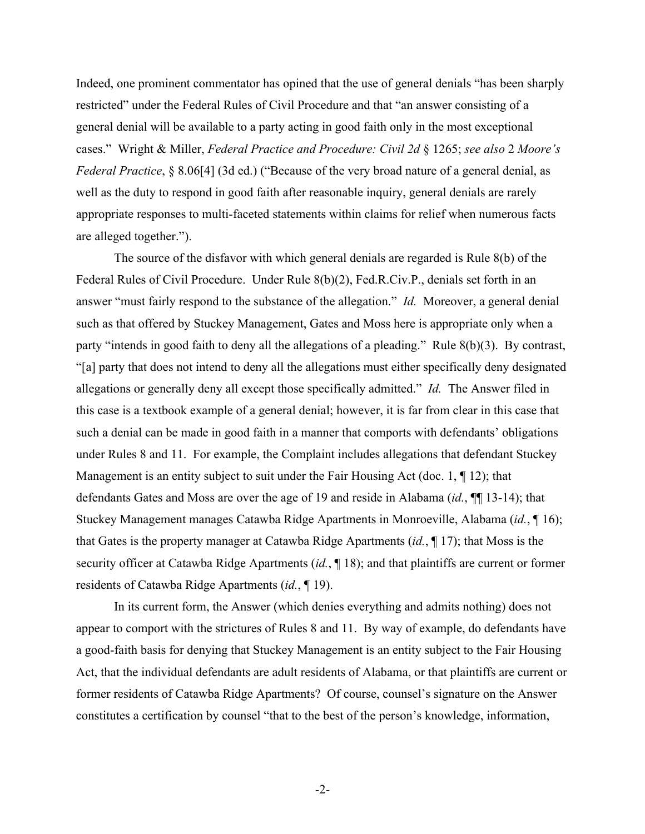Indeed, one prominent commentator has opined that the use of general denials "has been sharply restricted" under the Federal Rules of Civil Procedure and that "an answer consisting of a general denial will be available to a party acting in good faith only in the most exceptional cases." Wright & Miller, *Federal Practice and Procedure: Civil 2d* § 1265; *see also* 2 *Moore's Federal Practice*, § 8.06[4] (3d ed.) ("Because of the very broad nature of a general denial, as well as the duty to respond in good faith after reasonable inquiry, general denials are rarely appropriate responses to multi-faceted statements within claims for relief when numerous facts are alleged together.").

The source of the disfavor with which general denials are regarded is Rule 8(b) of the Federal Rules of Civil Procedure. Under Rule 8(b)(2), Fed.R.Civ.P., denials set forth in an answer "must fairly respond to the substance of the allegation." *Id.* Moreover, a general denial such as that offered by Stuckey Management, Gates and Moss here is appropriate only when a party "intends in good faith to deny all the allegations of a pleading." Rule 8(b)(3). By contrast, "[a] party that does not intend to deny all the allegations must either specifically deny designated allegations or generally deny all except those specifically admitted." *Id.* The Answer filed in this case is a textbook example of a general denial; however, it is far from clear in this case that such a denial can be made in good faith in a manner that comports with defendants' obligations under Rules 8 and 11. For example, the Complaint includes allegations that defendant Stuckey Management is an entity subject to suit under the Fair Housing Act (doc. 1, 1912); that defendants Gates and Moss are over the age of 19 and reside in Alabama (*id.*, ¶¶ 13-14); that Stuckey Management manages Catawba Ridge Apartments in Monroeville, Alabama (*id.*, ¶ 16); that Gates is the property manager at Catawba Ridge Apartments (*id.*, ¶ 17); that Moss is the security officer at Catawba Ridge Apartments (*id.*, ¶ 18); and that plaintiffs are current or former residents of Catawba Ridge Apartments (*id.*, ¶ 19).

In its current form, the Answer (which denies everything and admits nothing) does not appear to comport with the strictures of Rules 8 and 11. By way of example, do defendants have a good-faith basis for denying that Stuckey Management is an entity subject to the Fair Housing Act, that the individual defendants are adult residents of Alabama, or that plaintiffs are current or former residents of Catawba Ridge Apartments? Of course, counsel's signature on the Answer constitutes a certification by counsel "that to the best of the person's knowledge, information,

-2-